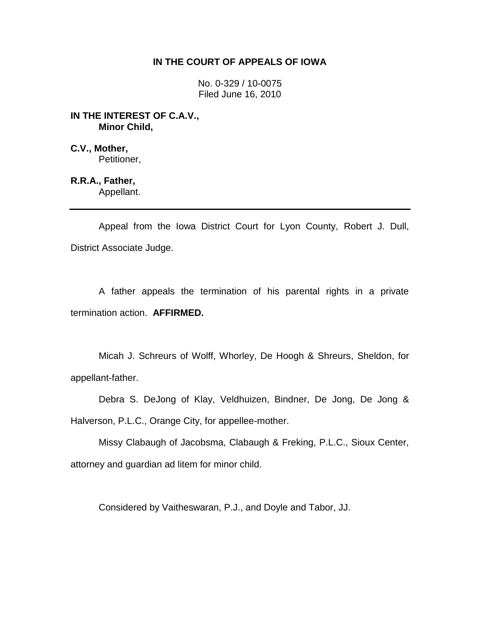# **IN THE COURT OF APPEALS OF IOWA**

No. 0-329 / 10-0075 Filed June 16, 2010

### **IN THE INTEREST OF C.A.V., Minor Child,**

**C.V., Mother,** Petitioner,

**R.R.A., Father,** Appellant.

Appeal from the Iowa District Court for Lyon County, Robert J. Dull, District Associate Judge.

A father appeals the termination of his parental rights in a private termination action. **AFFIRMED.**

Micah J. Schreurs of Wolff, Whorley, De Hoogh & Shreurs, Sheldon, for appellant-father.

Debra S. DeJong of Klay, Veldhuizen, Bindner, De Jong, De Jong & Halverson, P.L.C., Orange City, for appellee-mother.

Missy Clabaugh of Jacobsma, Clabaugh & Freking, P.L.C., Sioux Center, attorney and guardian ad litem for minor child.

Considered by Vaitheswaran, P.J., and Doyle and Tabor, JJ.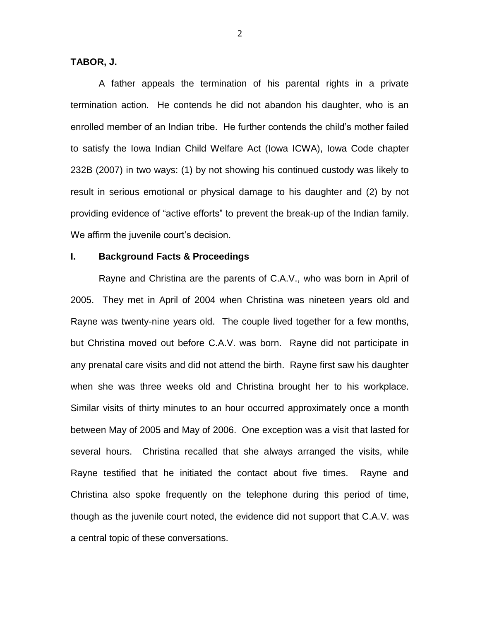**TABOR, J.**

A father appeals the termination of his parental rights in a private termination action. He contends he did not abandon his daughter, who is an enrolled member of an Indian tribe. He further contends the child's mother failed to satisfy the Iowa Indian Child Welfare Act (Iowa ICWA), Iowa Code chapter 232B (2007) in two ways: (1) by not showing his continued custody was likely to result in serious emotional or physical damage to his daughter and (2) by not providing evidence of "active efforts" to prevent the break-up of the Indian family. We affirm the juvenile court's decision.

### **I. Background Facts & Proceedings**

Rayne and Christina are the parents of C.A.V., who was born in April of 2005. They met in April of 2004 when Christina was nineteen years old and Rayne was twenty-nine years old. The couple lived together for a few months, but Christina moved out before C.A.V. was born. Rayne did not participate in any prenatal care visits and did not attend the birth. Rayne first saw his daughter when she was three weeks old and Christina brought her to his workplace. Similar visits of thirty minutes to an hour occurred approximately once a month between May of 2005 and May of 2006. One exception was a visit that lasted for several hours. Christina recalled that she always arranged the visits, while Rayne testified that he initiated the contact about five times. Rayne and Christina also spoke frequently on the telephone during this period of time, though as the juvenile court noted, the evidence did not support that C.A.V. was a central topic of these conversations.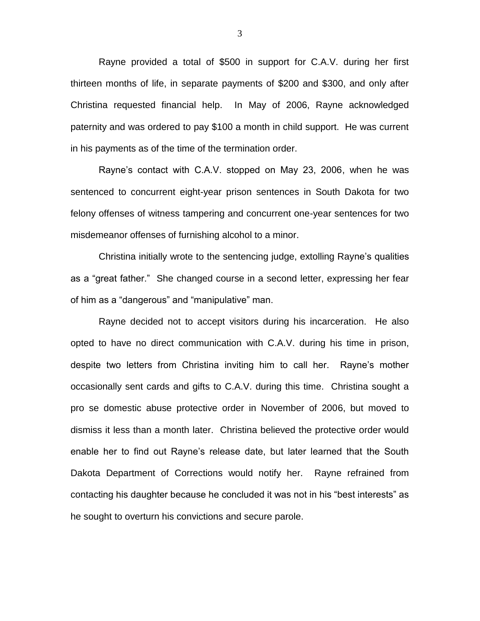Rayne provided a total of \$500 in support for C.A.V. during her first thirteen months of life, in separate payments of \$200 and \$300, and only after Christina requested financial help. In May of 2006, Rayne acknowledged paternity and was ordered to pay \$100 a month in child support. He was current in his payments as of the time of the termination order.

Rayne's contact with C.A.V. stopped on May 23, 2006, when he was sentenced to concurrent eight-year prison sentences in South Dakota for two felony offenses of witness tampering and concurrent one-year sentences for two misdemeanor offenses of furnishing alcohol to a minor.

Christina initially wrote to the sentencing judge, extolling Rayne's qualities as a "great father." She changed course in a second letter, expressing her fear of him as a "dangerous" and "manipulative" man.

Rayne decided not to accept visitors during his incarceration. He also opted to have no direct communication with C.A.V. during his time in prison, despite two letters from Christina inviting him to call her. Rayne's mother occasionally sent cards and gifts to C.A.V. during this time. Christina sought a pro se domestic abuse protective order in November of 2006, but moved to dismiss it less than a month later. Christina believed the protective order would enable her to find out Rayne's release date, but later learned that the South Dakota Department of Corrections would notify her. Rayne refrained from contacting his daughter because he concluded it was not in his "best interests" as he sought to overturn his convictions and secure parole.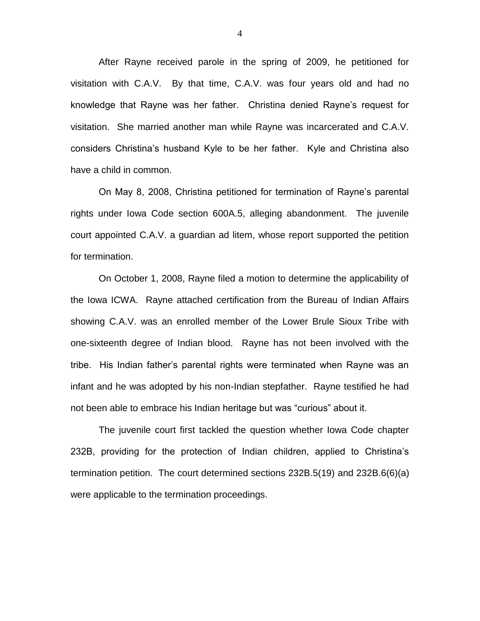After Rayne received parole in the spring of 2009, he petitioned for visitation with C.A.V. By that time, C.A.V. was four years old and had no knowledge that Rayne was her father. Christina denied Rayne's request for visitation. She married another man while Rayne was incarcerated and C.A.V. considers Christina's husband Kyle to be her father. Kyle and Christina also have a child in common.

On May 8, 2008, Christina petitioned for termination of Rayne's parental rights under Iowa Code section 600A.5, alleging abandonment. The juvenile court appointed C.A.V. a guardian ad litem, whose report supported the petition for termination.

On October 1, 2008, Rayne filed a motion to determine the applicability of the Iowa ICWA. Rayne attached certification from the Bureau of Indian Affairs showing C.A.V. was an enrolled member of the Lower Brule Sioux Tribe with one-sixteenth degree of Indian blood. Rayne has not been involved with the tribe. His Indian father's parental rights were terminated when Rayne was an infant and he was adopted by his non-Indian stepfather. Rayne testified he had not been able to embrace his Indian heritage but was "curious" about it.

The juvenile court first tackled the question whether Iowa Code chapter 232B, providing for the protection of Indian children, applied to Christina's termination petition. The court determined sections 232B.5(19) and 232B.6(6)(a) were applicable to the termination proceedings.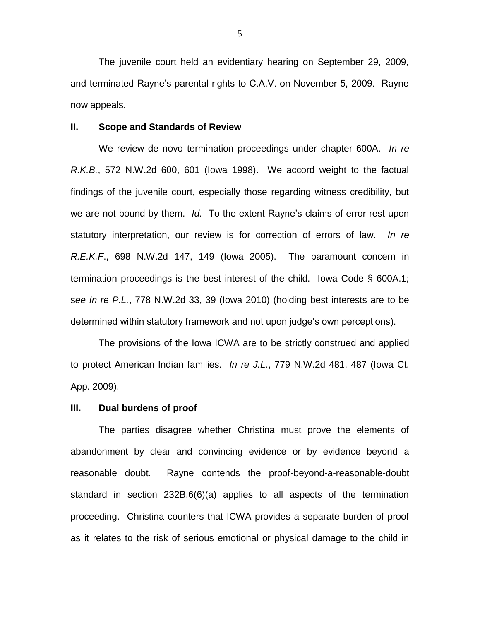The juvenile court held an evidentiary hearing on September 29, 2009, and terminated Rayne's parental rights to C.A.V. on November 5, 2009. Rayne now appeals.

#### **II. Scope and Standards of Review**

We review de novo termination proceedings under chapter 600A. *In re R.K.B.*, 572 N.W.2d 600, 601 (Iowa 1998). We accord weight to the factual findings of the juvenile court, especially those regarding witness credibility, but we are not bound by them. *Id.* To the extent Rayne's claims of error rest upon statutory interpretation, our review is for correction of errors of law. *In re R.E.K.F*., 698 N.W.2d 147, 149 (Iowa 2005). The paramount concern in termination proceedings is the best interest of the child. Iowa Code § 600A.1; s*ee In re P.L.*, 778 N.W.2d 33, 39 (Iowa 2010) (holding best interests are to be determined within statutory framework and not upon judge's own perceptions).

The provisions of the Iowa ICWA are to be strictly construed and applied to protect American Indian families. *In re J.L.*, 779 N.W.2d 481, 487 (Iowa Ct. App. 2009).

#### **III. Dual burdens of proof**

The parties disagree whether Christina must prove the elements of abandonment by clear and convincing evidence or by evidence beyond a reasonable doubt. Rayne contends the proof-beyond-a-reasonable-doubt standard in section 232B.6(6)(a) applies to all aspects of the termination proceeding. Christina counters that ICWA provides a separate burden of proof as it relates to the risk of serious emotional or physical damage to the child in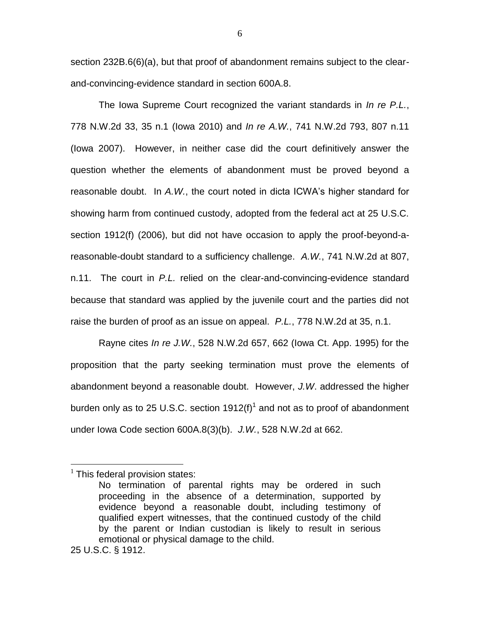section 232B.6(6)(a), but that proof of abandonment remains subject to the clearand-convincing-evidence standard in section 600A.8.

The Iowa Supreme Court recognized the variant standards in *In re P.L.*, 778 N.W.2d 33, 35 n.1 (Iowa 2010) and *In re A.W.*, 741 N.W.2d 793, 807 n.11 (Iowa 2007). However, in neither case did the court definitively answer the question whether the elements of abandonment must be proved beyond a reasonable doubt. In *A.W.*, the court noted in dicta ICWA's higher standard for showing harm from continued custody, adopted from the federal act at 25 U.S.C. section 1912(f) (2006), but did not have occasion to apply the proof-beyond-areasonable-doubt standard to a sufficiency challenge. *A.W.*, 741 N.W.2d at 807, n.11. The court in *P.L.* relied on the clear-and-convincing-evidence standard because that standard was applied by the juvenile court and the parties did not raise the burden of proof as an issue on appeal. *P.L.*, 778 N.W.2d at 35, n.1.

Rayne cites *In re J.W.*, 528 N.W.2d 657, 662 (Iowa Ct. App. 1995) for the proposition that the party seeking termination must prove the elements of abandonment beyond a reasonable doubt. However, *J.W*. addressed the higher burden only as to 25 U.S.C. section 1912(f)<sup>1</sup> and not as to proof of abandonment under Iowa Code section 600A.8(3)(b). *J.W.*, 528 N.W.2d at 662.

 $\overline{a}$ 

 $1$  This federal provision states:

No termination of parental rights may be ordered in such proceeding in the absence of a determination, supported by evidence beyond a reasonable doubt, including testimony of qualified expert witnesses, that the continued custody of the child by the parent or Indian custodian is likely to result in serious emotional or physical damage to the child.

<sup>25</sup> U.S.C. § 1912.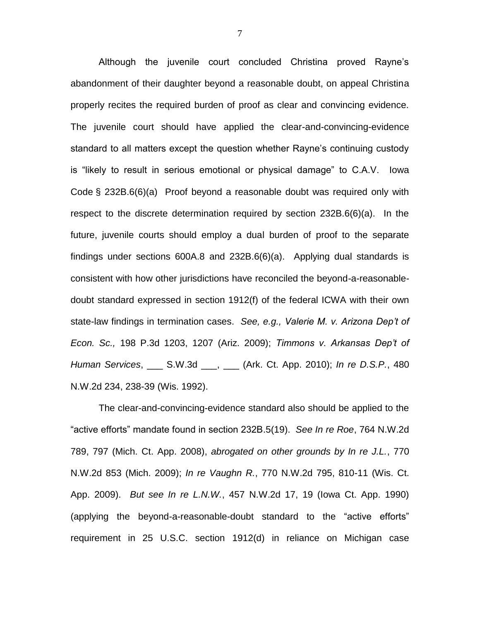Although the juvenile court concluded Christina proved Rayne's abandonment of their daughter beyond a reasonable doubt, on appeal Christina properly recites the required burden of proof as clear and convincing evidence. The juvenile court should have applied the clear-and-convincing-evidence standard to all matters except the question whether Rayne's continuing custody is "likely to result in serious emotional or physical damage" to C.A.V. Iowa Code § 232B.6(6)(a) Proof beyond a reasonable doubt was required only with respect to the discrete determination required by section 232B.6(6)(a). In the future, juvenile courts should employ a dual burden of proof to the separate findings under sections 600A.8 and 232B.6(6)(a). Applying dual standards is consistent with how other jurisdictions have reconciled the beyond-a-reasonabledoubt standard expressed in section 1912(f) of the federal ICWA with their own state-law findings in termination cases. *See, e.g., Valerie M. v. Arizona Dep't of Econ. Sc.,* 198 P.3d 1203, 1207 (Ariz. 2009); *Timmons v. Arkansas Dep't of Human Services*, \_\_\_ S.W.3d \_\_\_, \_\_\_ (Ark. Ct. App. 2010); *In re D.S.P.*, 480 N.W.2d 234, 238-39 (Wis. 1992).

The clear-and-convincing-evidence standard also should be applied to the "active efforts" mandate found in section 232B.5(19). *See In re Roe*, 764 N.W.2d 789, 797 (Mich. Ct. App. 2008), *abrogated on other grounds by In re J.L.*, 770 N.W.2d 853 (Mich. 2009); *In re Vaughn R.*, 770 N.W.2d 795, 810-11 (Wis. Ct. App. 2009). *But see In re L.N.W.*, 457 N.W.2d 17, 19 (Iowa Ct. App. 1990) (applying the beyond-a-reasonable-doubt standard to the "active efforts" requirement in 25 U.S.C. section 1912(d) in reliance on Michigan case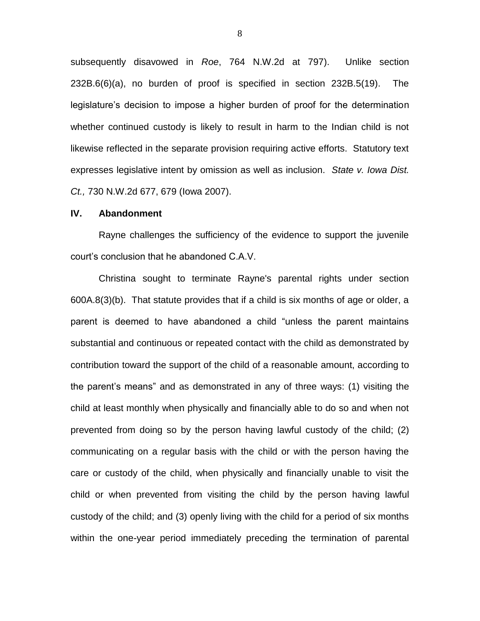subsequently disavowed in *Roe*, 764 N.W.2d at 797). Unlike section 232B.6(6)(a), no burden of proof is specified in section 232B.5(19). The legislature's decision to impose a higher burden of proof for the determination whether continued custody is likely to result in harm to the Indian child is not likewise reflected in the separate provision requiring active efforts. Statutory text expresses legislative intent by omission as well as inclusion. *State v. Iowa Dist. Ct.,* 730 N.W.2d 677, 679 (Iowa 2007).

### **IV. Abandonment**

Rayne challenges the sufficiency of the evidence to support the juvenile court's conclusion that he abandoned C.A.V.

Christina sought to terminate Rayne's parental rights under section 600A.8(3)(b). That statute provides that if a child is six months of age or older, a parent is deemed to have abandoned a child "unless the parent maintains substantial and continuous or repeated contact with the child as demonstrated by contribution toward the support of the child of a reasonable amount, according to the parent's means" and as demonstrated in any of three ways: (1) visiting the child at least monthly when physically and financially able to do so and when not prevented from doing so by the person having lawful custody of the child; (2) communicating on a regular basis with the child or with the person having the care or custody of the child, when physically and financially unable to visit the child or when prevented from visiting the child by the person having lawful custody of the child; and (3) openly living with the child for a period of six months within the one-year period immediately preceding the termination of parental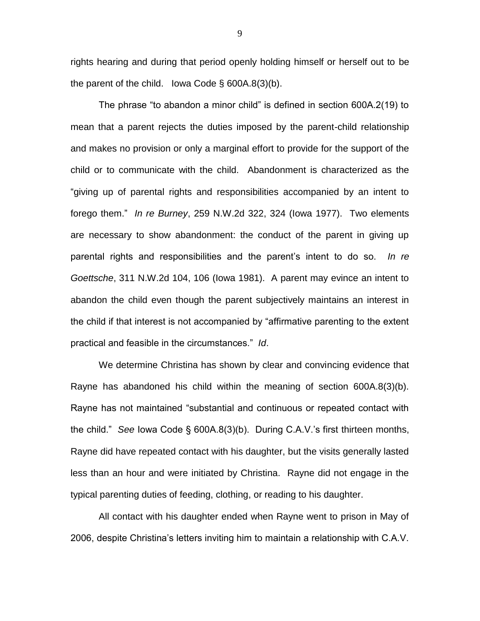rights hearing and during that period openly holding himself or herself out to be the parent of the child. Iowa Code  $\S$  600A.8(3)(b).

The phrase "to abandon a minor child" is defined in section 600A.2(19) to mean that a parent rejects the duties imposed by the parent-child relationship and makes no provision or only a marginal effort to provide for the support of the child or to communicate with the child. Abandonment is characterized as the "giving up of parental rights and responsibilities accompanied by an intent to forego them." *In re Burney*, 259 N.W.2d 322, 324 (Iowa 1977). Two elements are necessary to show abandonment: the conduct of the parent in giving up parental rights and responsibilities and the parent's intent to do so. *In re Goettsche*, 311 N.W.2d 104, 106 (Iowa 1981). A parent may evince an intent to abandon the child even though the parent subjectively maintains an interest in the child if that interest is not accompanied by "affirmative parenting to the extent practical and feasible in the circumstances." *Id*.

We determine Christina has shown by clear and convincing evidence that Rayne has abandoned his child within the meaning of section 600A.8(3)(b). Rayne has not maintained "substantial and continuous or repeated contact with the child." *See* Iowa Code § 600A.8(3)(b). During C.A.V.'s first thirteen months, Rayne did have repeated contact with his daughter, but the visits generally lasted less than an hour and were initiated by Christina. Rayne did not engage in the typical parenting duties of feeding, clothing, or reading to his daughter.

All contact with his daughter ended when Rayne went to prison in May of 2006, despite Christina's letters inviting him to maintain a relationship with C.A.V.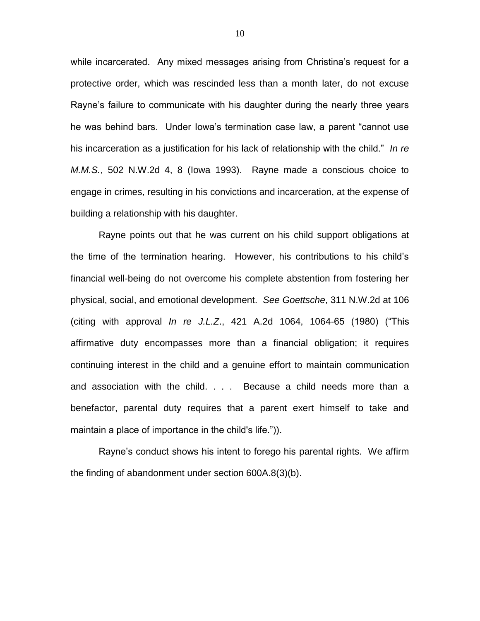while incarcerated. Any mixed messages arising from Christina's request for a protective order, which was rescinded less than a month later, do not excuse Rayne's failure to communicate with his daughter during the nearly three years he was behind bars. Under Iowa's termination case law, a parent "cannot use his incarceration as a justification for his lack of relationship with the child." *In re M.M.S.*, 502 N.W.2d 4, 8 (Iowa 1993). Rayne made a conscious choice to engage in crimes, resulting in his convictions and incarceration, at the expense of building a relationship with his daughter.

Rayne points out that he was current on his child support obligations at the time of the termination hearing. However, his contributions to his child's financial well-being do not overcome his complete abstention from fostering her physical, social, and emotional development. *See Goettsche*, 311 N.W.2d at 106 (citing with approval *In re J.L.Z*., 421 A.2d 1064, 1064-65 (1980) ("This affirmative duty encompasses more than a financial obligation; it requires continuing interest in the child and a genuine effort to maintain communication and association with the child. . . . Because a child needs more than a benefactor, parental duty requires that a parent exert himself to take and maintain a place of importance in the child's life.")).

Rayne's conduct shows his intent to forego his parental rights. We affirm the finding of abandonment under section 600A.8(3)(b).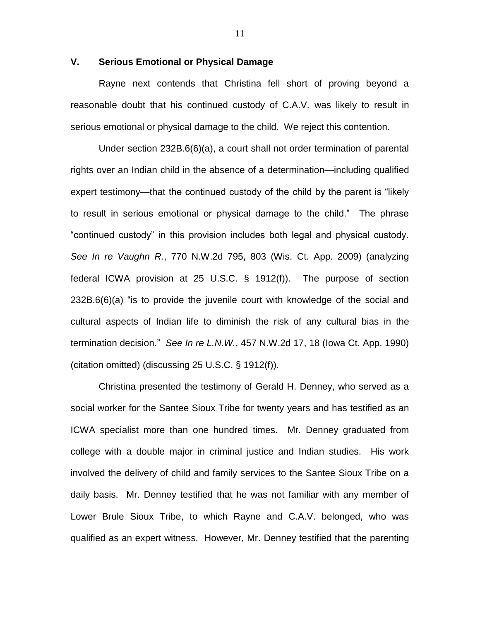## **V. Serious Emotional or Physical Damage**

Rayne next contends that Christina fell short of proving beyond a reasonable doubt that his continued custody of C.A.V. was likely to result in serious emotional or physical damage to the child. We reject this contention.

Under section 232B.6(6)(a), a court shall not order termination of parental rights over an Indian child in the absence of a determination—including qualified expert testimony—that the continued custody of the child by the parent is "likely to result in serious emotional or physical damage to the child." The phrase "continued custody" in this provision includes both legal and physical custody. *See In re Vaughn R.*, 770 N.W.2d 795, 803 (Wis. Ct. App. 2009) (analyzing federal ICWA provision at 25 U.S.C. § 1912(f)). The purpose of section 232B.6(6)(a) "is to provide the juvenile court with knowledge of the social and cultural aspects of Indian life to diminish the risk of any cultural bias in the termination decision." *See In re L.N.W.*, 457 N.W.2d 17, 18 (Iowa Ct. App. 1990) (citation omitted) (discussing 25 U.S.C. § 1912(f)).

Christina presented the testimony of Gerald H. Denney, who served as a social worker for the Santee Sioux Tribe for twenty years and has testified as an ICWA specialist more than one hundred times. Mr. Denney graduated from college with a double major in criminal justice and Indian studies. His work involved the delivery of child and family services to the Santee Sioux Tribe on a daily basis. Mr. Denney testified that he was not familiar with any member of Lower Brule Sioux Tribe, to which Rayne and C.A.V. belonged, who was qualified as an expert witness. However, Mr. Denney testified that the parenting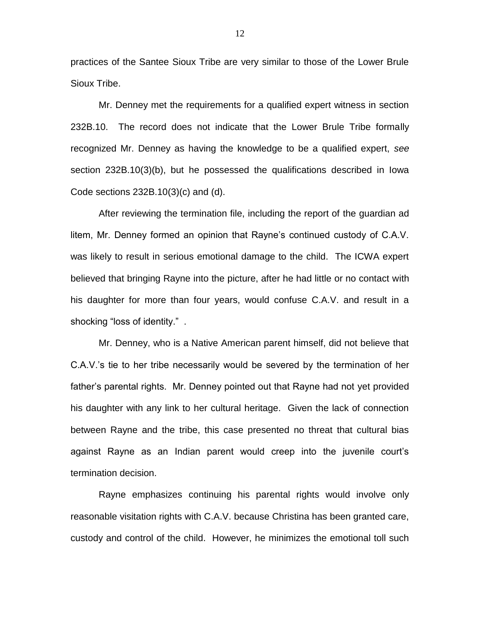practices of the Santee Sioux Tribe are very similar to those of the Lower Brule Sioux Tribe.

Mr. Denney met the requirements for a qualified expert witness in section 232B.10. The record does not indicate that the Lower Brule Tribe formally recognized Mr. Denney as having the knowledge to be a qualified expert, *see*  section 232B.10(3)(b), but he possessed the qualifications described in Iowa Code sections 232B.10(3)(c) and (d).

After reviewing the termination file, including the report of the guardian ad litem, Mr. Denney formed an opinion that Rayne's continued custody of C.A.V. was likely to result in serious emotional damage to the child. The ICWA expert believed that bringing Rayne into the picture, after he had little or no contact with his daughter for more than four years, would confuse C.A.V. and result in a shocking "loss of identity." .

Mr. Denney, who is a Native American parent himself, did not believe that C.A.V.'s tie to her tribe necessarily would be severed by the termination of her father's parental rights. Mr. Denney pointed out that Rayne had not yet provided his daughter with any link to her cultural heritage. Given the lack of connection between Rayne and the tribe, this case presented no threat that cultural bias against Rayne as an Indian parent would creep into the juvenile court's termination decision.

Rayne emphasizes continuing his parental rights would involve only reasonable visitation rights with C.A.V. because Christina has been granted care, custody and control of the child. However, he minimizes the emotional toll such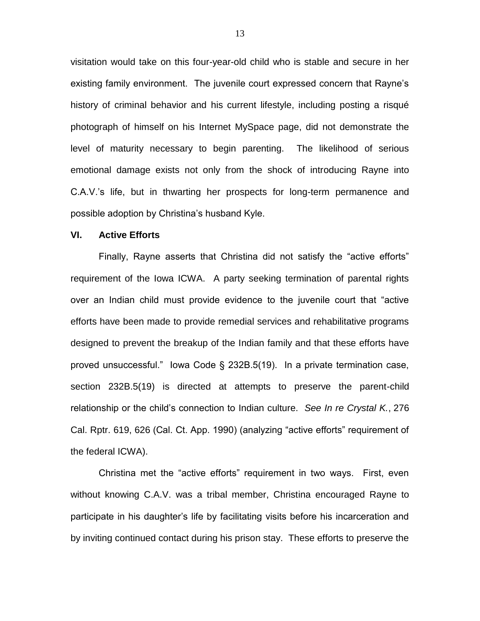visitation would take on this four-year-old child who is stable and secure in her existing family environment. The juvenile court expressed concern that Rayne's history of criminal behavior and his current lifestyle, including posting a risqué photograph of himself on his Internet MySpace page, did not demonstrate the level of maturity necessary to begin parenting. The likelihood of serious emotional damage exists not only from the shock of introducing Rayne into C.A.V.'s life, but in thwarting her prospects for long-term permanence and possible adoption by Christina's husband Kyle.

### **VI. Active Efforts**

Finally, Rayne asserts that Christina did not satisfy the "active efforts" requirement of the Iowa ICWA. A party seeking termination of parental rights over an Indian child must provide evidence to the juvenile court that "active efforts have been made to provide remedial services and rehabilitative programs designed to prevent the breakup of the Indian family and that these efforts have proved unsuccessful." Iowa Code § 232B.5(19). In a private termination case, section 232B.5(19) is directed at attempts to preserve the parent-child relationship or the child's connection to Indian culture. *See In re Crystal K.*, 276 Cal. Rptr. 619, 626 (Cal. Ct. App. 1990) (analyzing "active efforts" requirement of the federal ICWA).

Christina met the "active efforts" requirement in two ways. First, even without knowing C.A.V. was a tribal member, Christina encouraged Rayne to participate in his daughter's life by facilitating visits before his incarceration and by inviting continued contact during his prison stay. These efforts to preserve the